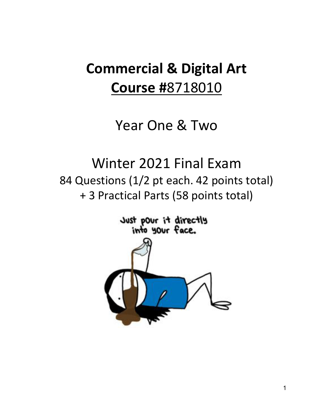# **Commercial & Digital Art Course #**8718010

# Year One & Two

# Winter 2021 Final Exam 84 Questions (1/2 pt each. 42 points total) + 3 Practical Parts (58 points total)

Just pour it directly<br>into your face.

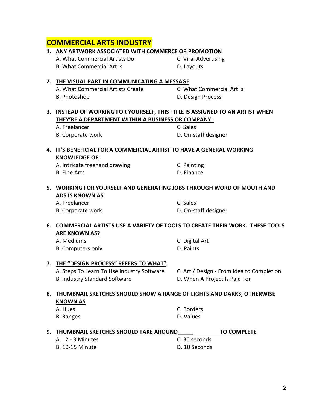# A. What Commercial Artists Create C. What Commercial Art Is B. Photoshop **D. Design Process 3. INSTEAD OF WORKING FOR YOURSELF, THIS TITLE IS ASSIGNED TO AN ARTIST WHEN THEY'RE A DEPARTMENT WITHIN A BUSINESS OR COMPANY:** A. Freelancer C. Sales B. Corporate work D. On-staff designer **4. IT'S BENEFICIAL FOR A COMMERCIAL ARTIST TO HAVE A GENERAL WORKING KNOWLEDGE OF:** A. Intricate freehand drawing Theorem C. Painting B. Fine Arts **D. Finance 5. WORKING FOR YOURSELF AND GENERATING JOBS THROUGH WORD OF MOUTH AND ADS IS KNOWN AS** A. Freelancer C. Sales B. Corporate work **B.** Corporate work **D.** On-staff designer

#### **6. COMMERCIAL ARTISTS USE A VARIETY OF TOOLS TO CREATE THEIR WORK. THESE TOOLS ARE KNOWN AS?**

| A. Mediums        | C. Digital Art |
|-------------------|----------------|
| B. Computers only | D. Paints      |

### **7. THE "DESIGN PROCESS" REFERS TO WHAT?**

B. Industry Standard Software The Communisty D. When A Project Is Paid For

A. Steps To Learn To Use Industry Software C. Art / Design - From Idea to Completion

### **8. THUMBNAIL SKETCHES SHOULD SHOW A RANGE OF LIGHTS AND DARKS, OTHERWISE KNOWN AS**

| A. Hues   | C. Borders |
|-----------|------------|
| B. Ranges | D. Values  |

| 9.   THUMBNAIL SKETCHES SHOULD TAKE AROUND |               | <b>TO COMPLETE</b> |
|--------------------------------------------|---------------|--------------------|
| A. 2 - 3 Minutes                           | C. 30 seconds |                    |
| <b>B. 10-15 Minute</b>                     | D. 10 Seconds |                    |

# **COMMERCIAL ARTS INDUSTRY**

#### **1. ANY ARTWORK ASSOCIATED WITH COMMERCE OR PROMOTION**

A. What Commercial Artists Do C. Viral Advertising B. What Commercial Art Is **Example 20 Inc.** D. Layouts

#### **2. THE VISUAL PART IN COMMUNICATING A MESSAGE**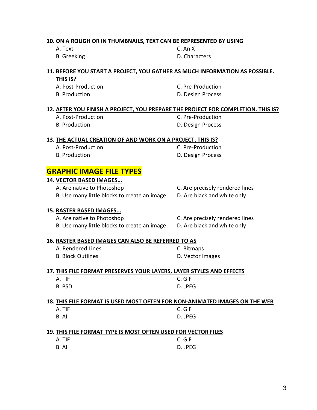#### **10. ON A ROUGH OR IN THUMBNAILS, TEXT CAN BE REPRESENTED BY USING**

A. Text C. An X

B. Greeking **B. Characters** 

#### **11. BEFORE YOU START A PROJECT, YOU GATHER AS MUCH INFORMATION AS POSSIBLE.**

|  | ., |  |
|--|----|--|
|--|----|--|

A. Post-Production C. Pre-Production B. Production **D. Design Process** 

#### **12. AFTER YOU FINISH A PROJECT, YOU PREPARE THE PROJECT FOR COMPLETION. THIS IS?**

A. Post-Production **C. Pre-Production** 

B. Production **D. Design Process** 

#### **13. THE ACTUAL CREATION OF AND WORK ON A PROJECT. THIS IS?**

- A. Post-Production **C. Pre-Production**
- 

B. Production **D. Design Process** 

### **GRAPHIC IMAGE FILE TYPES**

|                                                                            | 14. VECTOR BASED IMAGES                                              |                                 |
|----------------------------------------------------------------------------|----------------------------------------------------------------------|---------------------------------|
|                                                                            | A. Are native to Photoshop                                           | C. Are precisely rendered lines |
|                                                                            | B. Use many little blocks to create an image                         | D. Are black and white only     |
|                                                                            | <b>15. RASTER BASED IMAGES</b>                                       |                                 |
|                                                                            | A. Are native to Photoshop                                           | C. Are precisely rendered lines |
|                                                                            | B. Use many little blocks to create an image                         | D. Are black and white only     |
|                                                                            | 16. RASTER BASED IMAGES CAN ALSO BE REFERRED TO AS                   |                                 |
|                                                                            | A. Rendered Lines                                                    | C. Bitmaps                      |
|                                                                            | <b>B. Block Outlines</b>                                             | D. Vector Images                |
|                                                                            | 17. THIS FILE FORMAT PRESERVES YOUR LAYERS, LAYER STYLES AND EFFECTS |                                 |
|                                                                            | A. TIF                                                               | C. GIF                          |
|                                                                            | B. PSD                                                               | D. JPEG                         |
| 18. THIS FILE FORMAT IS USED MOST OFTEN FOR NON-ANIMATED IMAGES ON THE WEB |                                                                      |                                 |
|                                                                            | A. TIF                                                               | C. GIF                          |
|                                                                            | B. AI                                                                | D. JPEG                         |
| 19. THIS FILE FORMAT TYPE IS MOST OFTEN USED FOR VECTOR FILES              |                                                                      |                                 |
|                                                                            | A. TIF                                                               | C. GIF                          |
|                                                                            | B. AI                                                                | D. JPEG                         |
|                                                                            |                                                                      |                                 |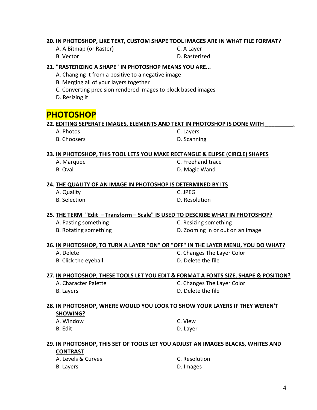#### **20. IN PHOTOSHOP, LIKE TEXT, CUSTOM SHAPE TOOL IMAGES ARE IN WHAT FILE FORMAT?**

- A. A Bitmap (or Raster) C. A Layer
- B. Vector **D. Rasterized**

#### **21. "RASTERIZING A SHAPE" IN PHOTOSHOP MEANS YOU ARE...**

#### A. Changing it from a positive to a negative image

- B. Merging all of your layers together
- C. Converting precision rendered images to block based images
- D. Resizing it

# **PHOTOSHOP**

#### **22. EDITING SEPERATE IMAGES, ELEMENTS AND TEXT IN PHOTOSHOP IS DONE WITH** \_\_\_\_\_\_\_\_\_.

- A. Photos C. Layers
- 

B. Choosers **D. Scanning** 

#### **23. IN PHOTOSHOP, THIS TOOL LETS YOU MAKE RECTANGLE & ELIPSE (CIRCLE) SHAPES**

- 
- 

A. Marquee C. Freehand trace B. Oval **D. Magic Wand** 

#### **24. THE QUALITY OF AN IMAGE IN PHOTOSHOP IS DETERMINED BY ITS**

A. Quality C. JPEG

B. Selection **D. Resolution** 

#### **25. THE TERM "Edit – Transform – Scale" IS USED TO DESCRIBE WHAT IN PHOTOSHOP?**

- 
- 

A. Pasting something example and the C. Resizing something B. Rotating something and all the D. Zooming in or out on an image

#### **26. IN PHOTOSHOP, TO TURN A LAYER "ON" OR "OFF" IN THE LAYER MENU, YOU DO WHAT?**

- 
- B. Click the eyeball **B.** D. Delete the file

A. Delete Color Color C. Changes The Layer Color

#### **27. IN PHOTOSHOP, THESE TOOLS LET YOU EDIT & FORMAT A FONTS SIZE, SHAPE & POSITION?**

B. Layers **D. Delete the file** 

A. Character Palette C. Changes The Layer Color

#### **28. IN PHOTOSHOP, WHERE WOULD YOU LOOK TO SHOW YOUR LAYERS IF THEY WEREN'T**

#### **SHOWING?**

A. Window C. View

B. Edit D. Layer

#### **29. IN PHOTOSHOP, THIS SET OF TOOLS LET YOU ADJUST AN IMAGES BLACKS, WHITES AND CONTRAST**

| A. Levels & Curves | C. Resolution |
|--------------------|---------------|
| B. Layers          | D. Images     |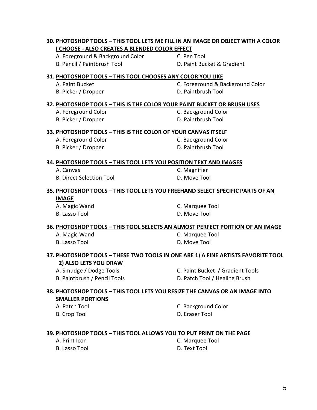# **30. PHOTOSHOP TOOLS – THIS TOOL LETS ME FILL IN AN IMAGE OR OBJECT WITH A COLOR I CHOOSE - ALSO CREATES A BLENDED COLOR EFFECT** A. Foreground & Background Color C. Pen Tool B. Pencil / Paintbrush Tool D. Paint Bucket & Gradient **31. PHOTOSHOP TOOLS – THIS TOOL CHOOSES ANY COLOR YOU LIKE** A. Paint Bucket **C. Foreground & Background Color** B. Picker / Dropper D. Paintbrush Tool **32. PHOTOSHOP TOOLS – THIS IS THE COLOR YOUR PAINT BUCKET OR BRUSH USES** A. Foreground Color **C. Background Color** B. Picker / Dropper D. Paintbrush Tool **33. PHOTOSHOP TOOLS – THIS IS THE COLOR OF YOUR CANVAS ITSELF** A. Foreground Color **C. Background Color** B. Picker / Dropper D. Paintbrush Tool **34. PHOTOSHOP TOOLS – THIS TOOL LETS YOU POSITION TEXT AND IMAGES** A. Canvas C. Magnifier B. Direct Selection Tool **D. Move Tool 35. PHOTOSHOP TOOLS – THIS TOOL LETS YOU FREEHAND SELECT SPECIFIC PARTS OF AN IMAGE** A. Magic Wand C. Marquee Tool B. Lasso Tool **D. Move Tool 36. PHOTOSHOP TOOLS – THIS TOOL SELECTS AN ALMOST PERFECT PORTION OF AN IMAGE** A. Magic Wand C. Marquee Tool B. Lasso Tool **D. Move Tool 37. PHOTOSHOP TOOLS – THESE TWO TOOLS IN ONE ARE 1) A FINE ARTISTS FAVORITE TOOL 2) ALSO LETS YOU DRAW** A. Smudge / Dodge Tools C. Paint Bucket / Gradient Tools B. Paintbrush / Pencil Tools **D. Patch Tool / Healing Brush 38. PHOTOSHOP TOOLS – THIS TOOL LETS YOU RESIZE THE CANVAS OR AN IMAGE INTO SMALLER PORTIONS** A. Patch Tool **C. Background Color** B. Crop Tool D. Eraser Tool **39. PHOTOSHOP TOOLS – THIS TOOL ALLOWS YOU TO PUT PRINT ON THE PAGE** A. Print Icon C. Marquee Tool B. Lasso Tool D. Text Tool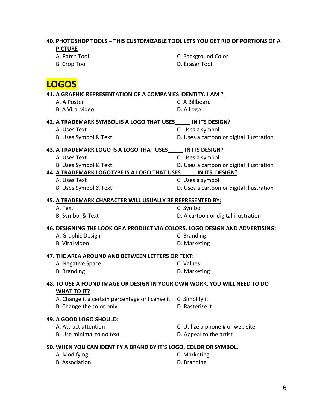| 40. PHOTOSHOP TOOLS - THIS CUSTOMIZABLE TOOL LETS YOU GET RID OF PORTIONS OF A<br><b>PICTURE</b> |                                           |
|--------------------------------------------------------------------------------------------------|-------------------------------------------|
| A. Patch Tool                                                                                    | C. Background Color                       |
| <b>B.</b> Crop Tool                                                                              | D. Eraser Tool                            |
|                                                                                                  |                                           |
| <b>LOGOS</b>                                                                                     |                                           |
| 41. A GRAPHIC REPRESENTATION OF A COMPANIES IDENTITY. I AM ?                                     |                                           |
| A. A Poster                                                                                      | C. A Billboard                            |
| <b>B.</b> A Viral video                                                                          | D. A Logo                                 |
| 42. A TRADEMARK SYMBOL IS A LOGO THAT USES                                                       | IN ITS DESIGN?                            |
| A. Uses Text                                                                                     | C. Uses a symbol                          |
| B. Uses Symbol & Text                                                                            | D. Uses a cartoon or digital illustration |
| 43. A TRADEMARK LOGO IS A LOGO THAT USES                                                         | IN ITS DESIGN?                            |
| A. Uses Text                                                                                     | C. Uses a symbol                          |
| B. Uses Symbol & Text                                                                            | D. Uses a cartoon or digital illustration |
| 44. A TRADEMARK LOGOTYPE IS A LOGO THAT USES                                                     | IN ITS DESIGN?                            |
| A. Uses Text                                                                                     | C. Uses a symbol                          |
| B. Uses Symbol & Text                                                                            | D. Uses a cartoon or digital illustration |
| 45. A TRADEMARK CHARACTER WILL USUALLY BE REPRESENTED BY:                                        |                                           |
| A. Text                                                                                          | C. Symbol                                 |
| B. Symbol & Text                                                                                 | D. A cartoon or digital illustration      |
| 46. DESIGNING THE LOOK OF A PRODUCT VIA COLORS, LOGO DESIGN AND ADVERTISING:                     |                                           |
| A. Graphic Design                                                                                | C. Branding                               |
| <b>B.</b> Viral video                                                                            | D. Marketing                              |
| 47. THE AREA AROUND AND BETWEEN LETTERS OR TEXT:                                                 |                                           |
| A. Negative Space                                                                                | C. Values                                 |
| <b>B.</b> Branding                                                                               | D. Marketing                              |
|                                                                                                  |                                           |
| 48. TO USE A FOUND IMAGE OR DESIGN IN YOUR OWN WORK, YOU WILL NEED TO DO<br><b>WHAT TO IT?</b>   |                                           |
| A. Change it a certain percentage or license it                                                  | C. Simplify it                            |
| B. Change the color only                                                                         | D. Rasterize it                           |
|                                                                                                  |                                           |
| 49. A GOOD LOGO SHOULD:                                                                          |                                           |
| A. Attract attention                                                                             | C. Utilize a phone # or web site          |
| B. Use minimal to no text                                                                        | D. Appeal to the artist                   |
| 50. WHEN YOU CAN IDENTIFY A BRAND BY IT'S LOGO, COLOR OR SYMBOL.                                 |                                           |
| A. Modifying                                                                                     | C. Marketing                              |
| <b>B.</b> Association                                                                            | D. Branding                               |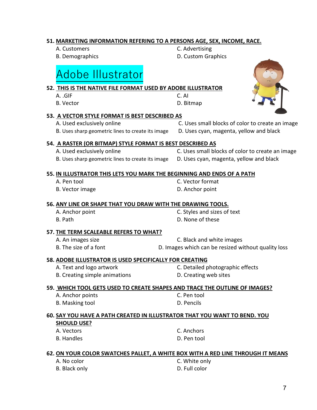# A. .GIF C. AI B. Vector **D. Bitmap 53. A VECTOR STYLE FORMAT IS BEST DESCRIBED AS** A. Used exclusively online C. Uses small blocks of color to create an image B. Uses sharp geometric lines to create its image D. Uses cyan, magenta, yellow and black **54. A RASTER (OR BITMAP) STYLE FORMAT IS BEST DESCRIBED AS** A. Used exclusively online C. Uses small blocks of color to create an image B. Uses sharp geometric lines to create its image D. Uses cyan, magenta, yellow and black **55. IN ILLUSTRATOR THIS LETS YOU MARK THE BEGINNING AND ENDS OF A PATH** A. Pen tool C. Vector format B. Vector image **D.** Anchor point **56. ANY LINE OR SHAPE THAT YOU DRAW WITH THE DRAWING TOOLS.**  A. Anchor point C. Styles and sizes of text B. Path D. None of these **57. THE TERM SCALEABLE REFERS TO WHAT?** A. An images size C. Black and white images B. The size of a font **D. Images which can be resized without quality loss 58. ADOBE ILLUSTRATOR IS USED SPECIFICALLY FOR CREATING** A. Text and logo artwork C. Detailed photographic effects B. Creating simple animations **D.** Creating web sites **59. WHICH TOOL GETS USED TO CREATE SHAPES AND TRACE THE OUTLINE OF IMAGES?** A. Anchor points C. Pen tool B. Masking tool D. Pencils **60. SAY YOU HAVE A PATH CREATED IN ILLUSTRATOR THAT YOU WANT TO BEND. YOU SHOULD USE?** A. Vectors C. Anchors

#### **62. ON YOUR COLOR SWATCHES PALLET, A WHITE BOX WITH A RED LINE THROUGH IT MEANS**

B. Handles D. Pen tool

- 
- B. Black only **D.** Full color

A. No color C. White only

# Adobe Illustrator

### **51. MARKETING INFORMATION REFERING TO A PERSONS AGE, SEX, INCOME, RACE.**

**52. THIS IS THE NATIVE FILE FORMAT USED BY ADOBE ILLUSTRATOR**

- A. Customers C. Advertising
- 

B. Demographics **D. Custom Graphics** 

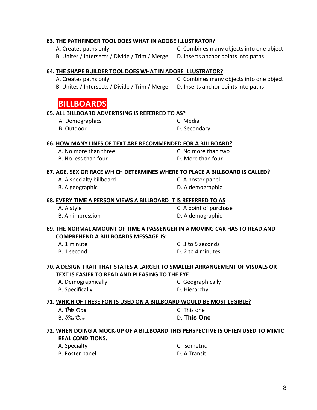#### **63. THE PATHFINDER TOOL DOES WHAT IN ADOBE ILLUSTRATOR?**

A. Creates paths only C. Combines many objects into one object B. Unites / Intersects / Divide / Trim / Merge D. Inserts anchor points into paths

#### **64. THE SHAPE BUILDER TOOL DOES WHAT IN ADOBE ILLUSTRATOR?**

A. Creates paths only C. Combines many objects into one object

B. Unites / Intersects / Divide / Trim / Merge D. Inserts anchor points into paths

# **1. BILLBOARDS**

#### **65. ALL BILLBOARD ADVERTISING IS REFERRED TO AS?**

- A. Demographics C. Media
- B. Outdoor D. Secondary

#### **66. HOW MANY LINES OF TEXT ARE RECOMMENDED FOR A BILLBOARD?**

A. No more than three C. No more than two B. No less than four **D.** More than four

#### **67. AGE, SEX OR RACE WHICH DETERMINES WHERE TO PLACE A BILLBOARD IS CALLED?**

A. A specialty billboard C. A poster panel

B. A geographic D. A demographic

#### **68. EVERY TIME A PERSON VIEWS A BILLBOARD IT IS REFERRED TO AS**

| A. A style       | C. A point of purchase |
|------------------|------------------------|
| B. An impression | D. A demographic       |

#### **69. THE NORMAL AMOUNT OF TIME A PASSENGER IN A MOVING CAR HAS TO READ AND COMPREHEND A BILLBOARDS MESSAGE IS:**

| A. 1 minute | C. 3 to 5 seconds |
|-------------|-------------------|
| B. 1 second | D. 2 to 4 minutes |

#### **70. A DESIGN TRAIT THAT STATES A LARGER TO SMALLER ARRANGEMENT OF VISUALS OR TEXT IS EASIER TO READ AND PLEASING TO THE EYE**

- A. Demographically C. Geographically
- B. Specifically **D. Hierarchy**

#### **71. WHICH OF THESE FONTS USED ON A BILLBOARD WOULD BE MOST LEGIBLE?**

A. This One C. This one B. This One D. **This One**

#### **72. WHEN DOING A MOCK-UP OF A BILLBOARD THIS PERSPECTIVE IS OFTEN USED TO MIMIC REAL CONDITIONS.**

| A. Specialty    | C. Isometric |
|-----------------|--------------|
| B. Poster panel | D. A Transit |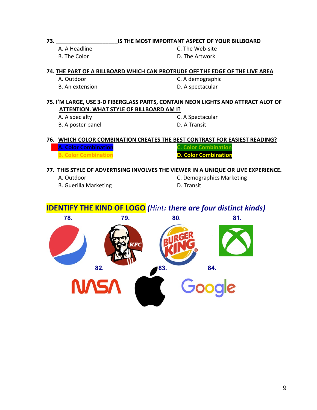#### **73.** \_\_\_\_\_\_\_\_\_\_\_\_\_\_\_\_\_\_\_\_**IS THE MOST IMPORTANT ASPECT OF YOUR BILLBOARD**

A. A Headline C. The Web-site B. The Color **D. The Artwork** 

#### **74. THE PART OF A BILLBOARD WHICH CAN PROTRUDE OFF THE EDGE OF THE LIVE AREA**

- 
- 

A. Outdoor C. A demographic B. An extension **B.** An extension

#### **75. I'M LARGE, USE 3-D FIBERGLASS PARTS, CONTAIN NEON LIGHTS AND ATTRACT ALOT OF ATTENTION. WHAT STYLE OF BILLBOARD AM I?**

B. A poster panel D. A Transit

A. A specialty C. A Spectacular

#### **76. WHICH COLOR COMBINATION CREATES THE BEST CONTRAST FOR EASIEST READING?**

**A. Color Combination C. Color Combination B. Color Combination D. Color Combination** 

#### **77. THIS STYLE OF ADVERTISING INVOLVES THE VIEWER IN A UNIQUE OR LIVE EXPERIENCE.**

B. Guerilla Marketing **Exercise State Control** D. Transit

A. Outdoor C. Demographics Marketing

## **IDENTIFY THE KIND OF LOGO** *(Hint: there are four distinct kinds)*

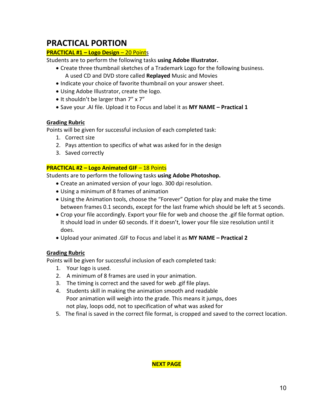# **PRACTICAL PORTION**

#### **PRACTICAL #1 – Logo Design** – 20 Points

Students are to perform the following tasks **using Adobe Illustrator.**

- Create three thumbnail sketches of a Trademark Logo for the following business. A used CD and DVD store called **Replayed** Music and Movies
- Indicate your choice of favorite thumbnail on your answer sheet.
- Using Adobe Illustrator, create the logo.
- It shouldn't be larger than 7" x 7"
- Save your .AI file. Upload it to Focus and label it as **MY NAME – Practical 1**

#### **Grading Rubric**

Points will be given for successful inclusion of each completed task:

- 1. Correct size
- 2. Pays attention to specifics of what was asked for in the design
- 3. Saved correctly

#### **PRACTICAL #2 – Logo Animated GIF** – 18 Points

Students are to perform the following tasks **using Adobe Photoshop.**

- Create an animated version of your logo. 300 dpi resolution.
- Using a minimum of 8 frames of animation
- Using the Animation tools, choose the "Forever" Option for play and make the time between frames 0.1 seconds, except for the last frame which should be left at 5 seconds.
- Crop your file accordingly. Export your file for web and choose the .gif file format option. It should load in under 60 seconds. If it doesn't, lower your file size resolution until it does.
- Upload your animated .GIF to Focus and label it as **MY NAME – Practical 2**

#### **Grading Rubric**

Points will be given for successful inclusion of each completed task:

- 1. Your logo is used.
- 2. A minimum of 8 frames are used in your animation.
- 3. The timing is correct and the saved for web .gif file plays.
- 4. Students skill in making the animation smooth and readable Poor animation will weigh into the grade. This means it jumps, does not play, loops odd, not to specification of what was asked for
- 5. The final is saved in the correct file format, is cropped and saved to the correct location.